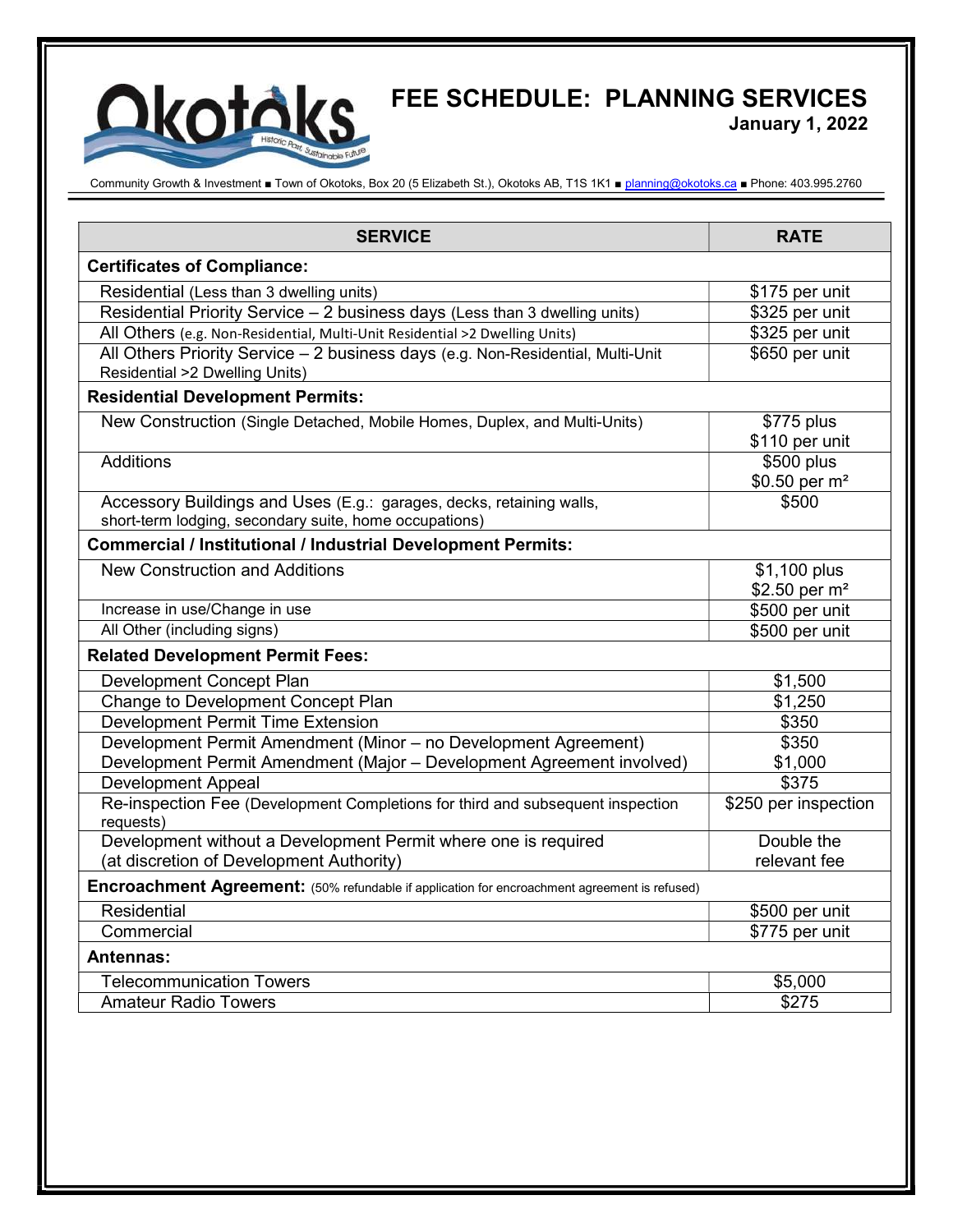## FEE SCHEDULE: PLANNING SERVICES January 1, 2022

Community Growth & Investment ■ Town of Okotoks, Box 20 (5 Elizabeth St.), Okotoks AB, T1S 1K1 ■ planning@okotoks.ca ■ Phone: 403.995.2760

| <b>SERVICE</b>                                                                                                                 | <b>RATE</b>                               |
|--------------------------------------------------------------------------------------------------------------------------------|-------------------------------------------|
| <b>Certificates of Compliance:</b>                                                                                             |                                           |
| Residential (Less than 3 dwelling units)                                                                                       | \$175 per unit                            |
| Residential Priority Service - 2 business days (Less than 3 dwelling units)                                                    | \$325 per unit                            |
| All Others (e.g. Non-Residential, Multi-Unit Residential >2 Dwelling Units)                                                    | $$325$ per unit                           |
| All Others Priority Service - 2 business days (e.g. Non-Residential, Multi-Unit<br>Residential >2 Dwelling Units)              | \$650 per unit                            |
| <b>Residential Development Permits:</b>                                                                                        |                                           |
| New Construction (Single Detached, Mobile Homes, Duplex, and Multi-Units)                                                      | \$775 plus<br>\$110 per unit              |
| Additions                                                                                                                      | \$500 plus<br>\$0.50 per m <sup>2</sup>   |
| Accessory Buildings and Uses (E.g.: garages, decks, retaining walls,<br>short-term lodging, secondary suite, home occupations) | \$500                                     |
| <b>Commercial / Institutional / Industrial Development Permits:</b>                                                            |                                           |
| <b>New Construction and Additions</b>                                                                                          | \$1,100 plus<br>\$2.50 per m <sup>2</sup> |
| Increase in use/Change in use                                                                                                  | $$500$ per unit                           |
| All Other (including signs)                                                                                                    | \$500 per unit                            |
| <b>Related Development Permit Fees:</b>                                                                                        |                                           |
| Development Concept Plan                                                                                                       | \$1,500                                   |
| Change to Development Concept Plan                                                                                             | \$1,250                                   |
| <b>Development Permit Time Extension</b>                                                                                       | \$350                                     |
| Development Permit Amendment (Minor - no Development Agreement)                                                                | \$350                                     |
| Development Permit Amendment (Major - Development Agreement involved)                                                          | \$1,000                                   |
| <b>Development Appeal</b>                                                                                                      | \$375                                     |
| Re-inspection Fee (Development Completions for third and subsequent inspection<br>requests)                                    | \$250 per inspection                      |
| Development without a Development Permit where one is required                                                                 | Double the                                |
| (at discretion of Development Authority)                                                                                       | relevant fee                              |
| Encroachment Agreement: (50% refundable if application for encroachment agreement is refused)                                  |                                           |
| Residential                                                                                                                    | $$500$ per unit                           |
| Commercial                                                                                                                     | \$775 per unit                            |
| <b>Antennas:</b>                                                                                                               |                                           |
| <b>Telecommunication Towers</b>                                                                                                | \$5,000                                   |
| <b>Amateur Radio Towers</b>                                                                                                    | \$275                                     |